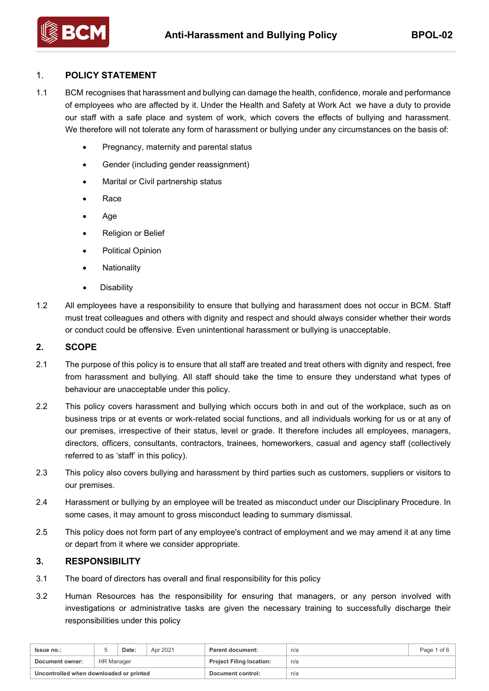# 1. **POLICY STATEMENT**

- 1.1 BCM recognises that harassment and bullying can damage the health, confidence, morale and performance of employees who are affected by it. Under the Health and Safety at Work Act we have a duty to provide our staff with a safe place and system of work, which covers the effects of bullying and harassment. We therefore will not tolerate any form of harassment or bullying under any circumstances on the basis of:
	- Pregnancy, maternity and parental status
	- Gender (including gender reassignment)
	- Marital or Civil partnership status
	- Race
	- Age
	- Religion or Belief
	- Political Opinion
	- Nationality
	- **Disability**
- 1.2 All employees have a responsibility to ensure that bullying and harassment does not occur in BCM. Staff must treat colleagues and others with dignity and respect and should always consider whether their words or conduct could be offensive. Even unintentional harassment or bullying is unacceptable.

#### **2. SCOPE**

- 2.1 The purpose of this policy is to ensure that all staff are treated and treat others with dignity and respect, free from harassment and bullying. All staff should take the time to ensure they understand what types of behaviour are unacceptable under this policy.
- 2.2 This policy covers harassment and bullying which occurs both in and out of the workplace, such as on business trips or at events or work-related social functions, and all individuals working for us or at any of our premises, irrespective of their status, level or grade. It therefore includes all employees, managers, directors, officers, consultants, contractors, trainees, homeworkers, casual and agency staff (collectively referred to as 'staff' in this policy).
- 2.3 This policy also covers bullying and harassment by third parties such as customers, suppliers or visitors to our premises.
- 2.4 Harassment or bullying by an employee will be treated as misconduct under our Disciplinary Procedure. In some cases, it may amount to gross misconduct leading to summary dismissal.
- 2.5 This policy does not form part of any employee's contract of employment and we may amend it at any time or depart from it where we consider appropriate.

### **3. RESPONSIBILITY**

- 3.1 The board of directors has overall and final responsibility for this policy
- 3.2 Human Resources has the responsibility for ensuring that managers, or any person involved with investigations or administrative tasks are given the necessary training to successfully discharge their responsibilities under this policy

| <b>Issue no.:</b>                       |                   | Date: | Apr 2021 | <b>Parent document:</b>         | n/a | Page 1 of 6 |
|-----------------------------------------|-------------------|-------|----------|---------------------------------|-----|-------------|
| Document owner:                         | <b>HR Manager</b> |       |          | <b>Project Filing location:</b> | n/a |             |
| Uncontrolled when downloaded or printed |                   |       |          | Document control:               | n/a |             |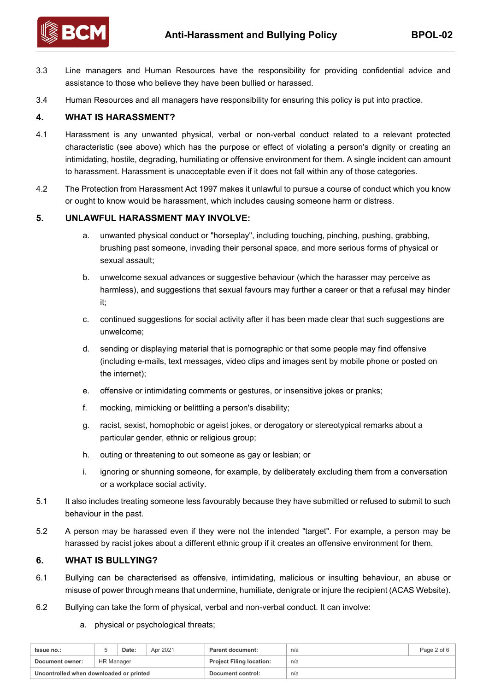

- 3.3 Line managers and Human Resources have the responsibility for providing confidential advice and assistance to those who believe they have been bullied or harassed.
- 3.4 Human Resources and all managers have responsibility for ensuring this policy is put into practice.

### **4. WHAT IS HARASSMENT?**

- 4.1 Harassment is any unwanted physical, verbal or non-verbal conduct related to a relevant protected characteristic (see above) which has the purpose or effect of violating a person's dignity or creating an intimidating, hostile, degrading, humiliating or offensive environment for them. A single incident can amount to harassment. Harassment is unacceptable even if it does not fall within any of those categories.
- 4.2 The Protection from Harassment Act 1997 makes it unlawful to pursue a course of conduct which you know or ought to know would be harassment, which includes causing someone harm or distress.

#### **5. UNLAWFUL HARASSMENT MAY INVOLVE:**

- a. unwanted physical conduct or "horseplay", including touching, pinching, pushing, grabbing, brushing past someone, invading their personal space, and more serious forms of physical or sexual assault;
- b. unwelcome sexual advances or suggestive behaviour (which the harasser may perceive as harmless), and suggestions that sexual favours may further a career or that a refusal may hinder it;
- c. continued suggestions for social activity after it has been made clear that such suggestions are unwelcome;
- d. sending or displaying material that is pornographic or that some people may find offensive (including e-mails, text messages, video clips and images sent by mobile phone or posted on the internet);
- e. offensive or intimidating comments or gestures, or insensitive jokes or pranks;
- f. mocking, mimicking or belittling a person's disability;
- g. racist, sexist, homophobic or ageist jokes, or derogatory or stereotypical remarks about a particular gender, ethnic or religious group;
- h. outing or threatening to out someone as gay or lesbian; or
- i. ignoring or shunning someone, for example, by deliberately excluding them from a conversation or a workplace social activity.
- 5.1 It also includes treating someone less favourably because they have submitted or refused to submit to such behaviour in the past.
- 5.2 A person may be harassed even if they were not the intended "target". For example, a person may be harassed by racist jokes about a different ethnic group if it creates an offensive environment for them.

#### **6. WHAT IS BULLYING?**

- 6.1 Bullying can be characterised as offensive, intimidating, malicious or insulting behaviour, an abuse or misuse of power through means that undermine, humiliate, denigrate or injure the recipient (ACAS Website).
- 6.2 Bullying can take the form of physical, verbal and non-verbal conduct. It can involve:
	- a. physical or psychological threats;

| <b>Issue no.:</b>                       |            | Date: | Apr 2021 | <b>Parent document:</b>         | n/a | Page 2 of 6 |
|-----------------------------------------|------------|-------|----------|---------------------------------|-----|-------------|
| Document owner:                         | HR Manager |       |          | <b>Project Filing location:</b> | n/a |             |
| Uncontrolled when downloaded or printed |            |       |          | Document control:               | n/a |             |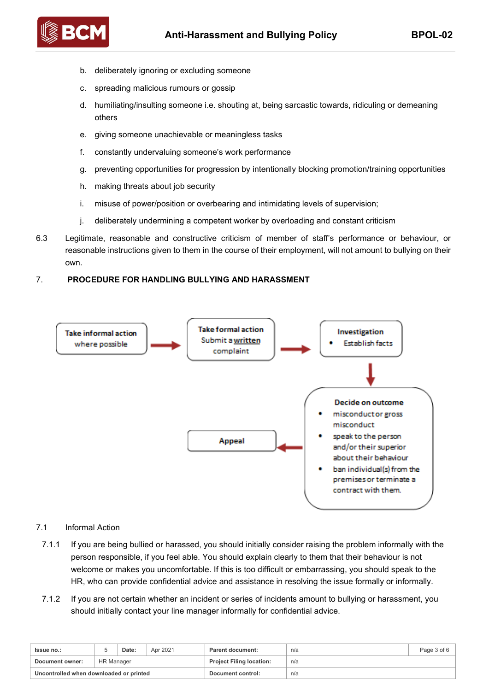

- b. deliberately ignoring or excluding someone
- c. spreading malicious rumours or gossip
- d. humiliating/insulting someone i.e. shouting at, being sarcastic towards, ridiculing or demeaning others
- e. giving someone unachievable or meaningless tasks
- f. constantly undervaluing someone's work performance
- g. preventing opportunities for progression by intentionally blocking promotion/training opportunities
- h. making threats about job security
- i. misuse of power/position or overbearing and intimidating levels of supervision;
- j. deliberately undermining a competent worker by overloading and constant criticism
- 6.3 Legitimate, reasonable and constructive criticism of member of staff's performance or behaviour, or reasonable instructions given to them in the course of their employment, will not amount to bullying on their own.

### 7. **PROCEDURE FOR HANDLING BULLYING AND HARASSMENT**



#### 7.1 Informal Action

- 7.1.1 If you are being bullied or harassed, you should initially consider raising the problem informally with the person responsible, if you feel able. You should explain clearly to them that their behaviour is not welcome or makes you uncomfortable. If this is too difficult or embarrassing, you should speak to the HR, who can provide confidential advice and assistance in resolving the issue formally or informally.
- 7.1.2 If you are not certain whether an incident or series of incidents amount to bullying or harassment, you should initially contact your line manager informally for confidential advice.

| <b>Issue no.:</b>                       |            | Date: | Apr 2021 | Parent document:                | n/a | Page 3 of 6 |
|-----------------------------------------|------------|-------|----------|---------------------------------|-----|-------------|
| Document owner:                         | HR Manager |       |          | <b>Project Filing location:</b> | n/a |             |
| Uncontrolled when downloaded or printed |            |       |          | Document control:               | n/a |             |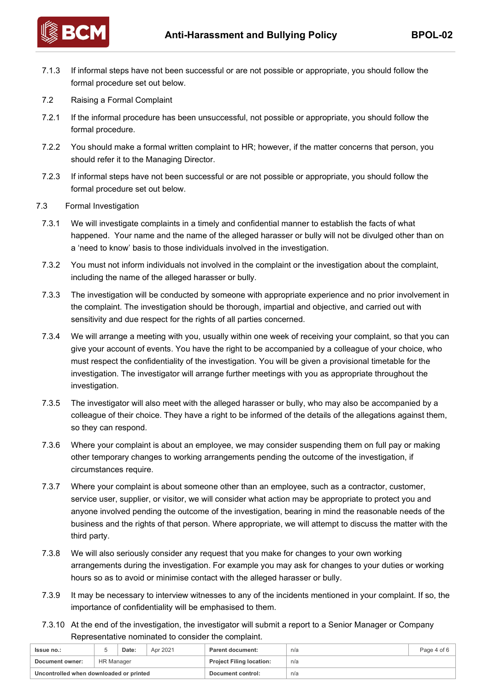

7.1.3 If informal steps have not been successful or are not possible or appropriate, you should follow the formal procedure set out below.

- 7.2 Raising a Formal Complaint
- 7.2.1 If the informal procedure has been unsuccessful, not possible or appropriate, you should follow the formal procedure.
- 7.2.2 You should make a formal written complaint to HR; however, if the matter concerns that person, you should refer it to the Managing Director.
- 7.2.3 If informal steps have not been successful or are not possible or appropriate, you should follow the formal procedure set out below.
- 7.3 Formal Investigation
	- 7.3.1 We will investigate complaints in a timely and confidential manner to establish the facts of what happened. Your name and the name of the alleged harasser or bully will not be divulged other than on a 'need to know' basis to those individuals involved in the investigation.
	- 7.3.2 You must not inform individuals not involved in the complaint or the investigation about the complaint, including the name of the alleged harasser or bully.
	- 7.3.3 The investigation will be conducted by someone with appropriate experience and no prior involvement in the complaint. The investigation should be thorough, impartial and objective, and carried out with sensitivity and due respect for the rights of all parties concerned.
	- 7.3.4 We will arrange a meeting with you, usually within one week of receiving your complaint, so that you can give your account of events. You have the right to be accompanied by a colleague of your choice, who must respect the confidentiality of the investigation. You will be given a provisional timetable for the investigation. The investigator will arrange further meetings with you as appropriate throughout the investigation.
	- 7.3.5 The investigator will also meet with the alleged harasser or bully, who may also be accompanied by a colleague of their choice. They have a right to be informed of the details of the allegations against them, so they can respond.
	- 7.3.6 Where your complaint is about an employee, we may consider suspending them on full pay or making other temporary changes to working arrangements pending the outcome of the investigation, if circumstances require.
	- 7.3.7 Where your complaint is about someone other than an employee, such as a contractor, customer, service user, supplier, or visitor, we will consider what action may be appropriate to protect you and anyone involved pending the outcome of the investigation, bearing in mind the reasonable needs of the business and the rights of that person. Where appropriate, we will attempt to discuss the matter with the third party.
	- 7.3.8 We will also seriously consider any request that you make for changes to your own working arrangements during the investigation. For example you may ask for changes to your duties or working hours so as to avoid or minimise contact with the alleged harasser or bully.
	- 7.3.9 It may be necessary to interview witnesses to any of the incidents mentioned in your complaint. If so, the importance of confidentiality will be emphasised to them.
	- 7.3.10 At the end of the investigation, the investigator will submit a report to a Senior Manager or Company Representative nominated to consider the complaint.

| <b>Issue no.:</b>                       |                   | Date: | Apr 2021 | Parent document:                | n/a | Page 4 of 6 |
|-----------------------------------------|-------------------|-------|----------|---------------------------------|-----|-------------|
| Document owner:                         | <b>HR Manager</b> |       |          | <b>Project Filing location:</b> | n/a |             |
| Uncontrolled when downloaded or printed |                   |       |          | Document control:               | n/a |             |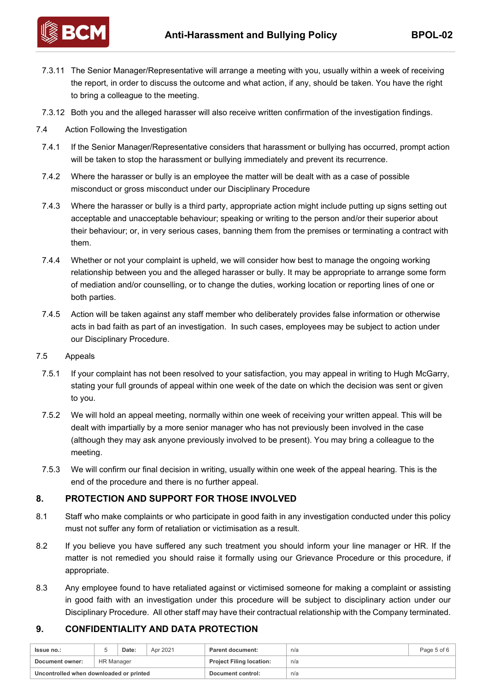

- 7.3.11 The Senior Manager/Representative will arrange a meeting with you, usually within a week of receiving the report, in order to discuss the outcome and what action, if any, should be taken. You have the right to bring a colleague to the meeting.
- 7.3.12 Both you and the alleged harasser will also receive written confirmation of the investigation findings.

- 7.4 Action Following the Investigation
	- 7.4.1 If the Senior Manager/Representative considers that harassment or bullying has occurred, prompt action will be taken to stop the harassment or bullying immediately and prevent its recurrence.
	- 7.4.2 Where the harasser or bully is an employee the matter will be dealt with as a case of possible misconduct or gross misconduct under our Disciplinary Procedure
	- 7.4.3 Where the harasser or bully is a third party, appropriate action might include putting up signs setting out acceptable and unacceptable behaviour; speaking or writing to the person and/or their superior about their behaviour; or, in very serious cases, banning them from the premises or terminating a contract with them.
	- 7.4.4 Whether or not your complaint is upheld, we will consider how best to manage the ongoing working relationship between you and the alleged harasser or bully. It may be appropriate to arrange some form of mediation and/or counselling, or to change the duties, working location or reporting lines of one or both parties.
	- 7.4.5 Action will be taken against any staff member who deliberately provides false information or otherwise acts in bad faith as part of an investigation. In such cases, employees may be subject to action under our Disciplinary Procedure.
- 7.5 Appeals
	- 7.5.1 If your complaint has not been resolved to your satisfaction, you may appeal in writing to Hugh McGarry, stating your full grounds of appeal within one week of the date on which the decision was sent or given to you.
	- 7.5.2 We will hold an appeal meeting, normally within one week of receiving your written appeal. This will be dealt with impartially by a more senior manager who has not previously been involved in the case (although they may ask anyone previously involved to be present). You may bring a colleague to the meeting.
- 7.5.3 We will confirm our final decision in writing, usually within one week of the appeal hearing. This is the end of the procedure and there is no further appeal.

### **8. PROTECTION AND SUPPORT FOR THOSE INVOLVED**

- 8.1 Staff who make complaints or who participate in good faith in any investigation conducted under this policy must not suffer any form of retaliation or victimisation as a result.
- 8.2 If you believe you have suffered any such treatment you should inform your line manager or HR. If the matter is not remedied you should raise it formally using our Grievance Procedure or this procedure, if appropriate.
- 8.3 Any employee found to have retaliated against or victimised someone for making a complaint or assisting in good faith with an investigation under this procedure will be subject to disciplinary action under our Disciplinary Procedure. All other staff may have their contractual relationship with the Company terminated.

# **9. CONFIDENTIALITY AND DATA PROTECTION**

| <b>Issue no.:</b>                       |                   | Date: | Apr 2021 | <b>Parent document:</b>         | n/a | Page 5 of 6 |
|-----------------------------------------|-------------------|-------|----------|---------------------------------|-----|-------------|
| Document owner:                         | <b>HR Manager</b> |       |          | <b>Project Filing location:</b> | n/a |             |
| Uncontrolled when downloaded or printed |                   |       |          | Document control:               | n/a |             |